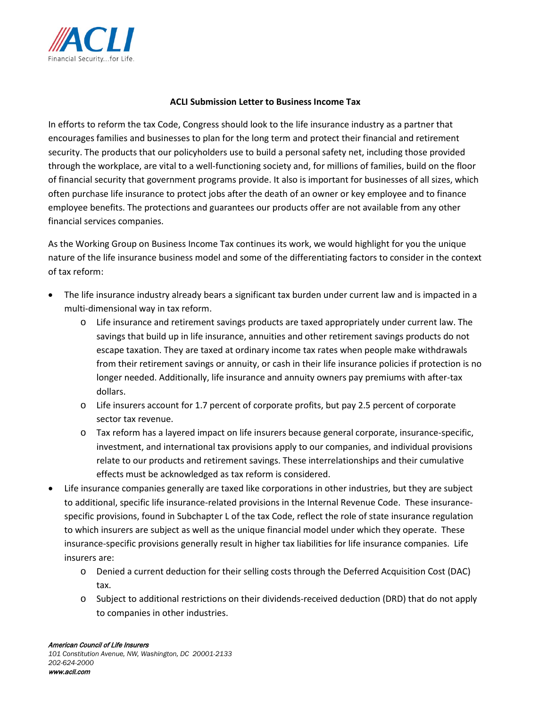

## **ACLI Submission Letter to Business Income Tax**

In efforts to reform the tax Code, Congress should look to the life insurance industry as a partner that encourages families and businesses to plan for the long term and protect their financial and retirement security. The products that our policyholders use to build a personal safety net, including those provided through the workplace, are vital to a well-functioning society and, for millions of families, build on the floor of financial security that government programs provide. It also is important for businesses of all sizes, which often purchase life insurance to protect jobs after the death of an owner or key employee and to finance employee benefits. The protections and guarantees our products offer are not available from any other financial services companies.

As the Working Group on Business Income Tax continues its work, we would highlight for you the unique nature of the life insurance business model and some of the differentiating factors to consider in the context of tax reform:

- The life insurance industry already bears a significant tax burden under current law and is impacted in a multi-dimensional way in tax reform.
	- o Life insurance and retirement savings products are taxed appropriately under current law. The savings that build up in life insurance, annuities and other retirement savings products do not escape taxation. They are taxed at ordinary income tax rates when people make withdrawals from their retirement savings or annuity, or cash in their life insurance policies if protection is no longer needed. Additionally, life insurance and annuity owners pay premiums with after-tax dollars.
	- o Life insurers account for 1.7 percent of corporate profits, but pay 2.5 percent of corporate sector tax revenue.
	- o Tax reform has a layered impact on life insurers because general corporate, insurance-specific, investment, and international tax provisions apply to our companies, and individual provisions relate to our products and retirement savings. These interrelationships and their cumulative effects must be acknowledged as tax reform is considered.
- Life insurance companies generally are taxed like corporations in other industries, but they are subject to additional, specific life insurance-related provisions in the Internal Revenue Code. These insurancespecific provisions, found in Subchapter L of the tax Code, reflect the role of state insurance regulation to which insurers are subject as well as the unique financial model under which they operate. These insurance-specific provisions generally result in higher tax liabilities for life insurance companies. Life insurers are:
	- o Denied a current deduction for their selling costs through the Deferred Acquisition Cost (DAC) tax.
	- o Subject to additional restrictions on their dividends-received deduction (DRD) that do not apply to companies in other industries.

*101 Constitution Avenue, NW, Washington, DC 20001-2133 202-624-2000* www.acli.com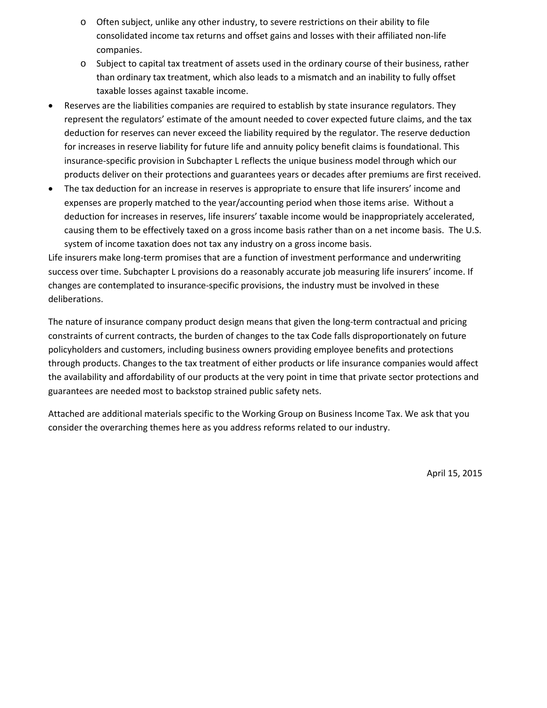- o Often subject, unlike any other industry, to severe restrictions on their ability to file consolidated income tax returns and offset gains and losses with their affiliated non-life companies.
- o Subject to capital tax treatment of assets used in the ordinary course of their business, rather than ordinary tax treatment, which also leads to a mismatch and an inability to fully offset taxable losses against taxable income.
- Reserves are the liabilities companies are required to establish by state insurance regulators. They represent the regulators' estimate of the amount needed to cover expected future claims, and the tax deduction for reserves can never exceed the liability required by the regulator. The reserve deduction for increases in reserve liability for future life and annuity policy benefit claims is foundational. This insurance-specific provision in Subchapter L reflects the unique business model through which our products deliver on their protections and guarantees years or decades after premiums are first received.
- The tax deduction for an increase in reserves is appropriate to ensure that life insurers' income and expenses are properly matched to the year/accounting period when those items arise. Without a deduction for increases in reserves, life insurers' taxable income would be inappropriately accelerated, causing them to be effectively taxed on a gross income basis rather than on a net income basis. The U.S. system of income taxation does not tax any industry on a gross income basis.

Life insurers make long-term promises that are a function of investment performance and underwriting success over time. Subchapter L provisions do a reasonably accurate job measuring life insurers' income. If changes are contemplated to insurance-specific provisions, the industry must be involved in these deliberations.

The nature of insurance company product design means that given the long-term contractual and pricing constraints of current contracts, the burden of changes to the tax Code falls disproportionately on future policyholders and customers, including business owners providing employee benefits and protections through products. Changes to the tax treatment of either products or life insurance companies would affect the availability and affordability of our products at the very point in time that private sector protections and guarantees are needed most to backstop strained public safety nets.

Attached are additional materials specific to the Working Group on Business Income Tax. We ask that you consider the overarching themes here as you address reforms related to our industry.

April 15, 2015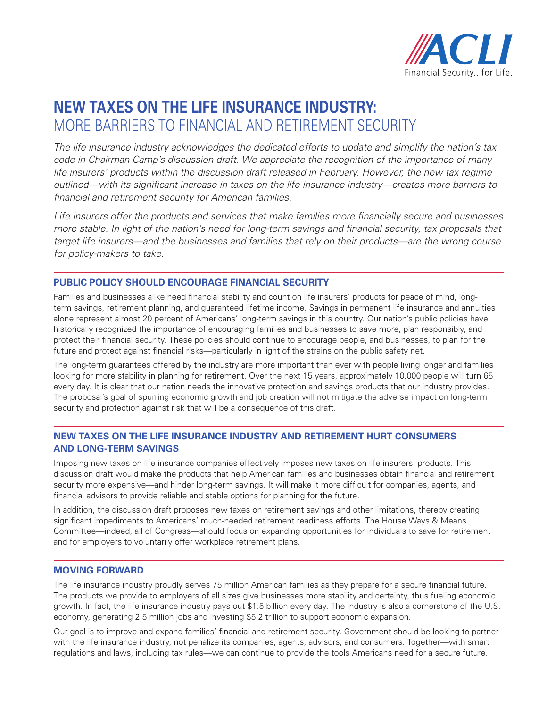

## **New taxes on the life insurance industry:** More barriers to financial and retirement security

*The life insurance industry acknowledges the dedicated efforts to update and simplify the nation's tax code in Chairman Camp's discussion draft. We appreciate the recognition of the importance of many life insurers' products within the discussion draft released in February. However, the new tax regime outlined—with its significant increase in taxes on the life insurance industry—creates more barriers to financial and retirement security for American families.*

*Life insurers offer the products and services that make families more financially secure and businesses more stable. In light of the nation's need for long-term savings and financial security, tax proposals that target life insurers—and the businesses and families that rely on their products—are the wrong course for policy-makers to take.*

## **Public Policy Should Encourage Financial Security**

Families and businesses alike need financial stability and count on life insurers' products for peace of mind, longterm savings, retirement planning, and guaranteed lifetime income. Savings in permanent life insurance and annuities alone represent almost 20 percent of Americans' long-term savings in this country. Our nation's public policies have historically recognized the importance of encouraging families and businesses to save more, plan responsibly, and protect their financial security. These policies should continue to encourage people, and businesses, to plan for the future and protect against financial risks—particularly in light of the strains on the public safety net.

The long-term guarantees offered by the industry are more important than ever with people living longer and families looking for more stability in planning for retirement. Over the next 15 years, approximately 10,000 people will turn 65 every day. It is clear that our nation needs the innovative protection and savings products that our industry provides. The proposal's goal of spurring economic growth and job creation will not mitigate the adverse impact on long-term security and protection against risk that will be a consequence of this draft.

## **New Taxes on the Life Insurance Industry and Retirement Hurt Consumers and Long-Term Savings**

Imposing new taxes on life insurance companies effectively imposes new taxes on life insurers' products. This discussion draft would make the products that help American families and businesses obtain financial and retirement security more expensive—and hinder long-term savings. It will make it more difficult for companies, agents, and financial advisors to provide reliable and stable options for planning for the future.

In addition, the discussion draft proposes new taxes on retirement savings and other limitations, thereby creating significant impediments to Americans' much-needed retirement readiness efforts. The House Ways & Means Committee—indeed, all of Congress—should focus on expanding opportunities for individuals to save for retirement and for employers to voluntarily offer workplace retirement plans.

## **Moving Forward**

The life insurance industry proudly serves 75 million American families as they prepare for a secure financial future. The products we provide to employers of all sizes give businesses more stability and certainty, thus fueling economic growth. In fact, the life insurance industry pays out \$1.5 billion every day. The industry is also a cornerstone of the U.S. economy, generating 2.5 million jobs and investing \$5.2 trillion to support economic expansion.

Our goal is to improve and expand families' financial and retirement security. Government should be looking to partner with the life insurance industry, not penalize its companies, agents, advisors, and consumers. Together—with smart regulations and laws, including tax rules—we can continue to provide the tools Americans need for a secure future.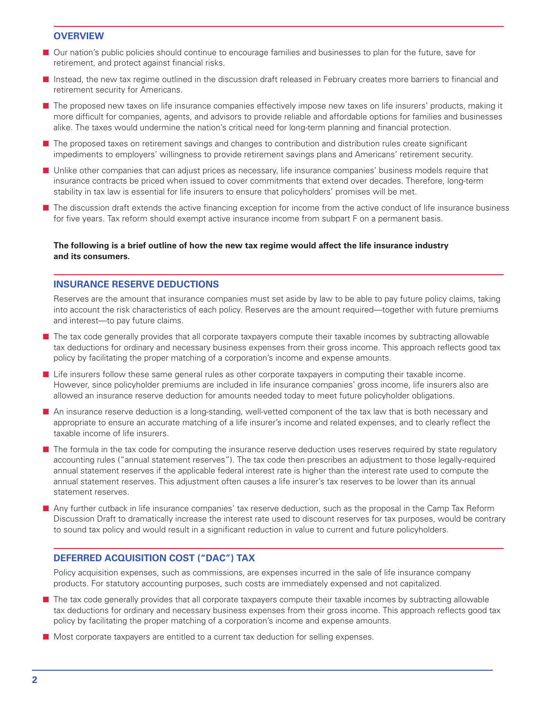#### **Overview**

- Our nation's public policies should continue to encourage families and businesses to plan for the future, save for retirement, and protect against financial risks.
- **n** Instead, the new tax regime outlined in the discussion draft released in February creates more barriers to financial and retirement security for Americans.
- **n** The proposed new taxes on life insurance companies effectively impose new taxes on life insurers' products, making it more difficult for companies, agents, and advisors to provide reliable and affordable options for families and businesses alike. The taxes would undermine the nation's critical need for long-term planning and financial protection.
- **n** The proposed taxes on retirement savings and changes to contribution and distribution rules create significant impediments to employers' willingness to provide retirement savings plans and Americans' retirement security.
- **n** Unlike other companies that can adjust prices as necessary, life insurance companies' business models require that insurance contracts be priced when issued to cover commitments that extend over decades. Therefore, long-term stability in tax law is essential for life insurers to ensure that policyholders' promises will be met.
- **n** The discussion draft extends the active financing exception for income from the active conduct of life insurance business for five years. Tax reform should exempt active insurance income from subpart F on a permanent basis.

### **The following is a brief outline of how the new tax regime would affect the life insurance industry and its consumers.**

## **Insurance Reserve Deductions**

Reserves are the amount that insurance companies must set aside by law to be able to pay future policy claims, taking into account the risk characteristics of each policy. Reserves are the amount required—together with future premiums and interest—to pay future claims.

- n The tax code generally provides that all corporate taxpayers compute their taxable incomes by subtracting allowable tax deductions for ordinary and necessary business expenses from their gross income. This approach reflects good tax policy by facilitating the proper matching of a corporation's income and expense amounts.
- Life insurers follow these same general rules as other corporate taxpayers in computing their taxable income. However, since policyholder premiums are included in life insurance companies' gross income, life insurers also are allowed an insurance reserve deduction for amounts needed today to meet future policyholder obligations.
- An insurance reserve deduction is a long-standing, well-vetted component of the tax law that is both necessary and appropriate to ensure an accurate matching of a life insurer's income and related expenses, and to clearly reflect the taxable income of life insurers.
- n The formula in the tax code for computing the insurance reserve deduction uses reserves required by state regulatory accounting rules ("annual statement reserves"). The tax code then prescribes an adjustment to those legally-required annual statement reserves if the applicable federal interest rate is higher than the interest rate used to compute the annual statement reserves. This adjustment often causes a life insurer's tax reserves to be lower than its annual statement reserves.
- **n** Any further cutback in life insurance companies' tax reserve deduction, such as the proposal in the Camp Tax Reform Discussion Draft to dramatically increase the interest rate used to discount reserves for tax purposes, would be contrary to sound tax policy and would result in a significant reduction in value to current and future policyholders.

## **Deferred Acquisition Cost ("DAC") Tax**

Policy acquisition expenses, such as commissions, are expenses incurred in the sale of life insurance company products. For statutory accounting purposes, such costs are immediately expensed and not capitalized.

- n The tax code generally provides that all corporate taxpayers compute their taxable incomes by subtracting allowable tax deductions for ordinary and necessary business expenses from their gross income. This approach reflects good tax policy by facilitating the proper matching of a corporation's income and expense amounts.
- **n** Most corporate taxpayers are entitled to a current tax deduction for selling expenses.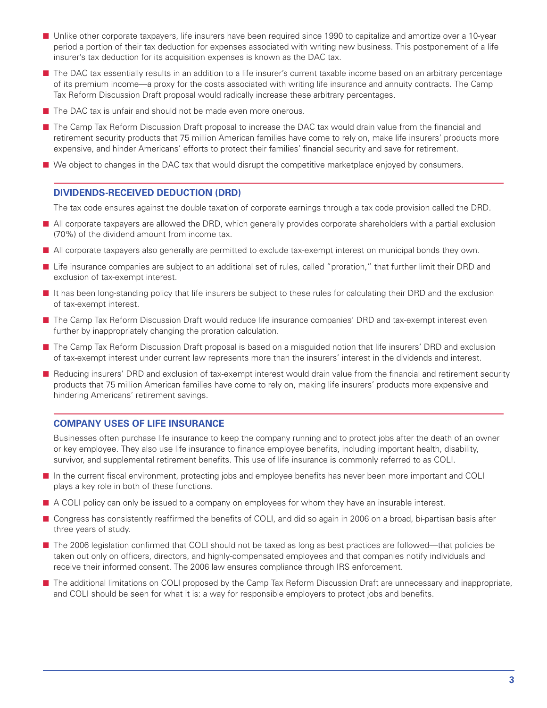- Unlike other corporate taxpayers, life insurers have been required since 1990 to capitalize and amortize over a 10-year period a portion of their tax deduction for expenses associated with writing new business. This postponement of a life insurer's tax deduction for its acquisition expenses is known as the DAC tax.
- n The DAC tax essentially results in an addition to a life insurer's current taxable income based on an arbitrary percentage of its premium income—a proxy for the costs associated with writing life insurance and annuity contracts. The Camp Tax Reform Discussion Draft proposal would radically increase these arbitrary percentages.
- $\blacksquare$  The DAC tax is unfair and should not be made even more onerous.
- The Camp Tax Reform Discussion Draft proposal to increase the DAC tax would drain value from the financial and retirement security products that 75 million American families have come to rely on, make life insurers' products more expensive, and hinder Americans' efforts to protect their families' financial security and save for retirement.
- We object to changes in the DAC tax that would disrupt the competitive marketplace enjoyed by consumers.

## **Dividends-Received Deduction (DRD)**

The tax code ensures against the double taxation of corporate earnings through a tax code provision called the DRD.

- All corporate taxpayers are allowed the DRD, which generally provides corporate shareholders with a partial exclusion (70%) of the dividend amount from income tax.
- n All corporate taxpayers also generally are permitted to exclude tax-exempt interest on municipal bonds they own.
- Life insurance companies are subject to an additional set of rules, called "proration," that further limit their DRD and exclusion of tax-exempt interest.
- It has been long-standing policy that life insurers be subject to these rules for calculating their DRD and the exclusion of tax-exempt interest.
- The Camp Tax Reform Discussion Draft would reduce life insurance companies' DRD and tax-exempt interest even further by inappropriately changing the proration calculation.
- The Camp Tax Reform Discussion Draft proposal is based on a misguided notion that life insurers' DRD and exclusion of tax-exempt interest under current law represents more than the insurers' interest in the dividends and interest.
- Reducing insurers' DRD and exclusion of tax-exempt interest would drain value from the financial and retirement security products that 75 million American families have come to rely on, making life insurers' products more expensive and hindering Americans' retirement savings.

## **Company uses of Life Insurance**

Businesses often purchase life insurance to keep the company running and to protect jobs after the death of an owner or key employee. They also use life insurance to finance employee benefits, including important health, disability, survivor, and supplemental retirement benefits. This use of life insurance is commonly referred to as COLI.

- n In the current fiscal environment, protecting jobs and employee benefits has never been more important and COLI plays a key role in both of these functions.
- A COLI policy can only be issued to a company on employees for whom they have an insurable interest.
- Congress has consistently reaffirmed the benefits of COLI, and did so again in 2006 on a broad, bi-partisan basis after three years of study.
- The 2006 legislation confirmed that COLI should not be taxed as long as best practices are followed—that policies be taken out only on officers, directors, and highly-compensated employees and that companies notify individuals and receive their informed consent. The 2006 law ensures compliance through IRS enforcement.
- The additional limitations on COLI proposed by the Camp Tax Reform Discussion Draft are unnecessary and inappropriate, and COLI should be seen for what it is: a way for responsible employers to protect jobs and benefits.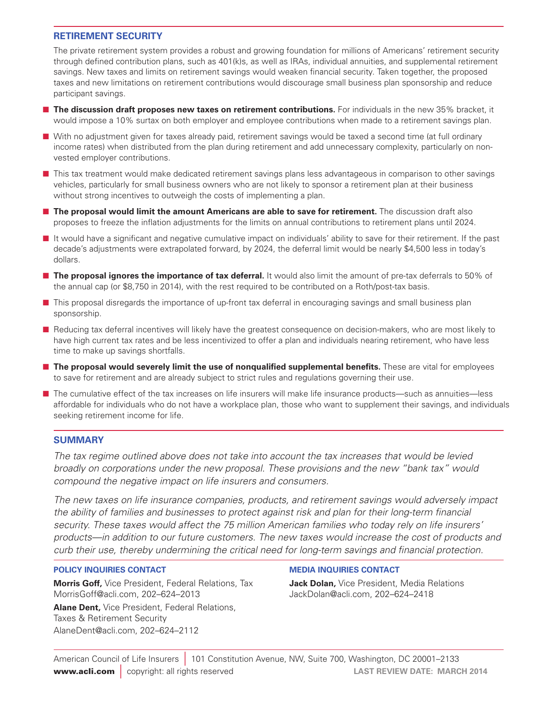## **RETIREMENT SECURITY**

The private retirement system provides a robust and growing foundation for millions of Americans' retirement security through defined contribution plans, such as 401(k)s, as well as IRAs, individual annuities, and supplemental retirement savings. New taxes and limits on retirement savings would weaken financial security. Taken together, the proposed taxes and new limitations on retirement contributions would discourage small business plan sponsorship and reduce participant savings.

- **n The discussion draft proposes new taxes on retirement contributions.** For individuals in the new 35% bracket, it would impose a 10% surtax on both employer and employee contributions when made to a retirement savings plan.
- With no adjustment given for taxes already paid, retirement savings would be taxed a second time (at full ordinary income rates) when distributed from the plan during retirement and add unnecessary complexity, particularly on nonvested employer contributions.
- n This tax treatment would make dedicated retirement savings plans less advantageous in comparison to other savings vehicles, particularly for small business owners who are not likely to sponsor a retirement plan at their business without strong incentives to outweigh the costs of implementing a plan.
- **n The proposal would limit the amount Americans are able to save for retirement.** The discussion draft also proposes to freeze the inflation adjustments for the limits on annual contributions to retirement plans until 2024.
- n It would have a significant and negative cumulative impact on individuals' ability to save for their retirement. If the past decade's adjustments were extrapolated forward, by 2024, the deferral limit would be nearly \$4,500 less in today's dollars.
- **The proposal ignores the importance of tax deferral.** It would also limit the amount of pre-tax deferrals to 50% of the annual cap (or \$8,750 in 2014), with the rest required to be contributed on a Roth/post-tax basis.
- n This proposal disregards the importance of up-front tax deferral in encouraging savings and small business plan sponsorship.
- n Reducing tax deferral incentives will likely have the greatest consequence on decision-makers, who are most likely to have high current tax rates and be less incentivized to offer a plan and individuals nearing retirement, who have less time to make up savings shortfalls.
- **n The proposal would severely limit the use of nonqualified supplemental benefits.** These are vital for employees to save for retirement and are already subject to strict rules and regulations governing their use.
- The cumulative effect of the tax increases on life insurers will make life insurance products—such as annuities—less affordable for individuals who do not have a workplace plan, those who want to supplement their savings, and individuals seeking retirement income for life.

## **Summary**

*The tax regime outlined above does not take into account the tax increases that would be levied broadly on corporations under the new proposal. These provisions and the new "bank tax" would compound the negative impact on life insurers and consumers.*

*The new taxes on life insurance companies, products, and retirement savings would adversely impact the ability of families and businesses to protect against risk and plan for their long-term financial security. These taxes would affect the 75 million American families who today rely on life insurers' products—in addition to our future customers. The new taxes would increase the cost of products and curb their use, thereby undermining the critical need for long-term savings and financial protection.*

## **Policy Inquiries Contact**

**Morris Goff,** Vice President, Federal Relations, Tax MorrisGoff@acli.com, 202–624–2013

**Alane Dent,** Vice President, Federal Relations, Taxes & Retirement Security AlaneDent@acli.com, 202–624–2112

## **Media Inquiries Contact**

**Jack Dolan,** Vice President, Media Relations JackDolan@acli.com, 202–624–2418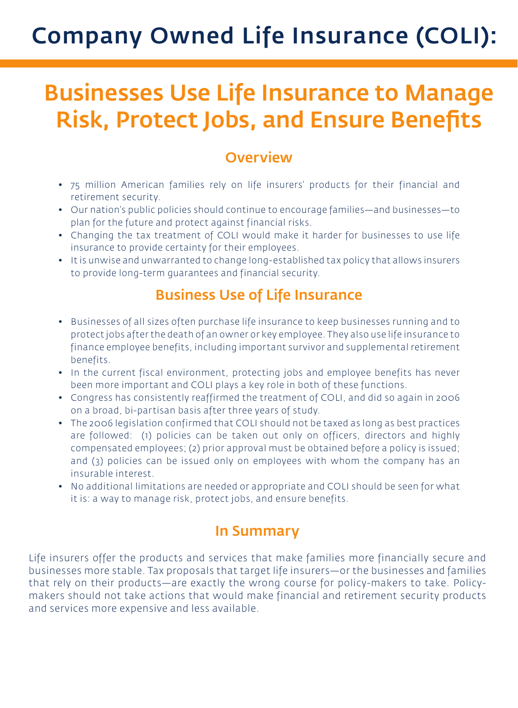# Company Owned Life Insurance (COLI):

# Businesses Use Life Insurance to Manage Risk, Protect Jobs, and Ensure Benefits

# **Overview**

- 75 million American families rely on life insurers' products for their financial and retirement security.
- Our nation's public policies should continue to encourage families—and businesses—to plan for the future and protect against financial risks.
- Changing the tax treatment of COLI would make it harder for businesses to use life insurance to provide certainty for their employees.
- It is unwise and unwarranted to change long-established tax policy that allows insurers to provide long-term guarantees and financial security.

# Business Use of Life Insurance

- Businesses of all sizes often purchase life insurance to keep businesses running and to protect jobs after the death of an owner or key employee. They also use life insurance to finance employee benefits, including important survivor and supplemental retirement benefits.
- In the current fiscal environment, protecting jobs and employee benefits has never been more important and COLI plays a key role in both of these functions.
- Congress has consistently reaffirmed the treatment of COLI, and did so again in 2006 on a broad, bi-partisan basis after three years of study.
- The 2006 legislation confirmed that COLI should not be taxed as long as best practices are followed: (1) policies can be taken out only on officers, directors and highly compensated employees; (2) prior approval must be obtained before a policy is issued; and (3) policies can be issued only on employees with whom the company has an insurable interest.
- No additional limitations are needed or appropriate and COLI should be seen for what it is: a way to manage risk, protect jobs, and ensure benefits.

# In Summary

Life insurers offer the products and services that make families more financially secure and businesses more stable. Tax proposals that target life insurers—or the businesses and families that rely on their products—are exactly the wrong course for policy-makers to take. Policymakers should not take actions that would make financial and retirement security products and services more expensive and less available.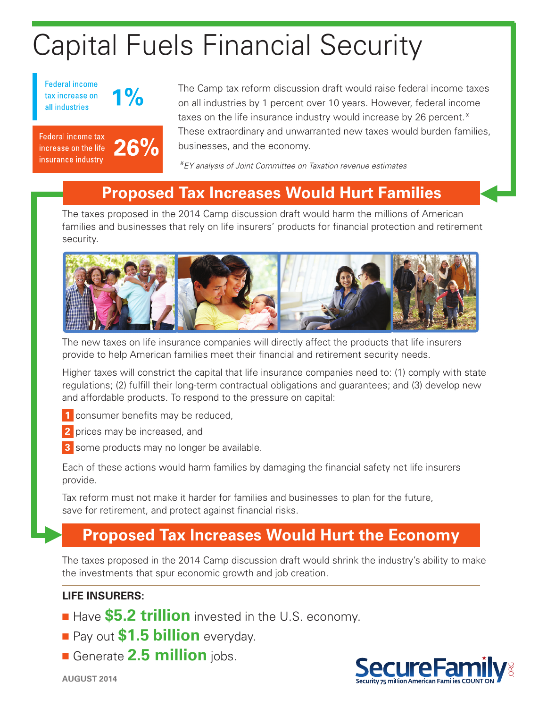# Capital Fuels Financial Security

**Federal income** tax increase on all industries



**Federal income tax** increase on the life insurance industry



The Camp tax reform discussion draft would raise federal income taxes on all industries by 1 percent over 10 years. However, federal income taxes on the life insurance industry would increase by 26 percent.\* These extraordinary and unwarranted new taxes would burden families, businesses, and the economy.

*\*EY analysis of Joint Committee on Taxation revenue estimates*

## **Proposed Tax Increases Would Hurt Families**

The taxes proposed in the 2014 Camp discussion draft would harm the millions of American families and businesses that rely on life insurers' products for financial protection and retirement security.



The new taxes on life insurance companies will directly affect the products that life insurers provide to help American families meet their financial and retirement security needs.

Higher taxes will constrict the capital that life insurance companies need to: (1) comply with state regulations; (2) fulfill their long-term contractual obligations and guarantees; and (3) develop new and affordable products. To respond to the pressure on capital:

**1** consumer benefits may be reduced,

**2** prices may be increased, and

**3** some products may no longer be available.

Each of these actions would harm families by damaging the financial safety net life insurers provide.

Tax reform must not make it harder for families and businesses to plan for the future, save for retirement, and protect against financial risks.

## **Proposed Tax Increases Would Hurt the Economy**

The taxes proposed in the 2014 Camp discussion draft would shrink the industry's ability to make the investments that spur economic growth and job creation.

## **LIFE INSURERS:**

s

- **Have \$5.2 trillion** invested in the U.S. economy.
- **n** Pay out **\$1.5 billion** everyday.
- **n** Generate **2.5 million** jobs.



s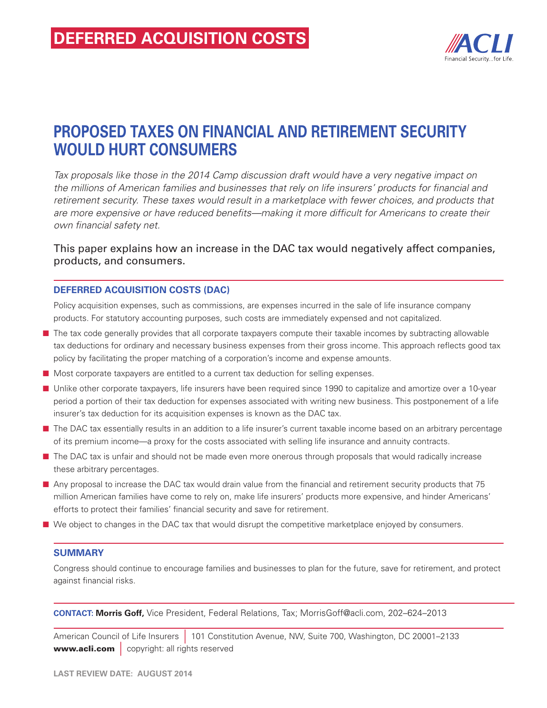

## **Proposed Taxes on Financial and Retirement Security would Hurt Consumers**

*Tax proposals like those in the 2014 Camp discussion draft would have a very negative impact on the millions of American families and businesses that rely on life insurers' products for financial and retirement security. These taxes would result in a marketplace with fewer choices, and products that are more expensive or have reduced benefits—making it more difficult for Americans to create their own financial safety net.*

This paper explains how an increase in the DAC tax would negatively affect companies, products, and consumers.

## **Deferred acquisition costs (DAC)**

Policy acquisition expenses, such as commissions, are expenses incurred in the sale of life insurance company products. For statutory accounting purposes, such costs are immediately expensed and not capitalized.

- n The tax code generally provides that all corporate taxpayers compute their taxable incomes by subtracting allowable tax deductions for ordinary and necessary business expenses from their gross income. This approach reflects good tax policy by facilitating the proper matching of a corporation's income and expense amounts.
- Most corporate taxpayers are entitled to a current tax deduction for selling expenses.
- **n** Unlike other corporate taxpayers, life insurers have been required since 1990 to capitalize and amortize over a 10-year period a portion of their tax deduction for expenses associated with writing new business. This postponement of a life insurer's tax deduction for its acquisition expenses is known as the DAC tax.
- The DAC tax essentially results in an addition to a life insurer's current taxable income based on an arbitrary percentage of its premium income—a proxy for the costs associated with selling life insurance and annuity contracts.
- n The DAC tax is unfair and should not be made even more onerous through proposals that would radically increase these arbitrary percentages.
- Any proposal to increase the DAC tax would drain value from the financial and retirement security products that 75 million American families have come to rely on, make life insurers' products more expensive, and hinder Americans' efforts to protect their families' financial security and save for retirement.
- We object to changes in the DAC tax that would disrupt the competitive marketplace enjoyed by consumers.

## **Summary**

Congress should continue to encourage families and businesses to plan for the future, save for retirement, and protect against financial risks.

**Contact: Morris Goff,** Vice President, Federal Relations, Tax; MorrisGoff@acli.com, 202–624–2013

American Council of Life Insurers | 101 Constitution Avenue, NW, Suite 700, Washington, DC 20001–2133 www.acli.com | copyright: all rights reserved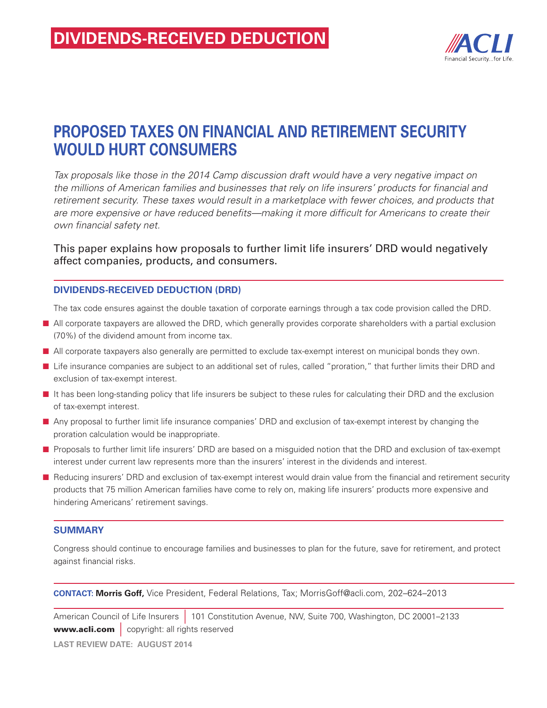

## **proposed Taxes on Financial and Retirement Security would Hurt Consumers**

*Tax proposals like those in the 2014 Camp discussion draft would have a very negative impact on the millions of American families and businesses that rely on life insurers' products for financial and retirement security. These taxes would result in a marketplace with fewer choices, and products that are more expensive or have reduced benefits—making it more difficult for Americans to create their own financial safety net.*

This paper explains how proposals to further limit life insurers' DRD would negatively affect companies, products, and consumers.

## **Dividends-received deduction (DRD)**

The tax code ensures against the double taxation of corporate earnings through a tax code provision called the DRD.

- n All corporate taxpayers are allowed the DRD, which generally provides corporate shareholders with a partial exclusion (70%) of the dividend amount from income tax.
- All corporate taxpayers also generally are permitted to exclude tax-exempt interest on municipal bonds they own.
- Life insurance companies are subject to an additional set of rules, called "proration," that further limits their DRD and exclusion of tax-exempt interest.
- It has been long-standing policy that life insurers be subject to these rules for calculating their DRD and the exclusion of tax-exempt interest.
- n Any proposal to further limit life insurance companies' DRD and exclusion of tax-exempt interest by changing the proration calculation would be inappropriate.
- n Proposals to further limit life insurers' DRD are based on a misguided notion that the DRD and exclusion of tax-exempt interest under current law represents more than the insurers' interest in the dividends and interest.
- n Reducing insurers' DRD and exclusion of tax-exempt interest would drain value from the financial and retirement security products that 75 million American families have come to rely on, making life insurers' products more expensive and hindering Americans' retirement savings.

## **Summary**

Congress should continue to encourage families and businesses to plan for the future, save for retirement, and protect against financial risks.

**Contact: Morris Goff,** Vice President, Federal Relations, Tax; MorrisGoff@acli.com, 202–624–2013

American Council of Life Insurers | 101 Constitution Avenue, NW, Suite 700, Washington, DC 20001–2133 www.acli.com | copyright: all rights reserved **LAST REVIEW DATE: August 2014**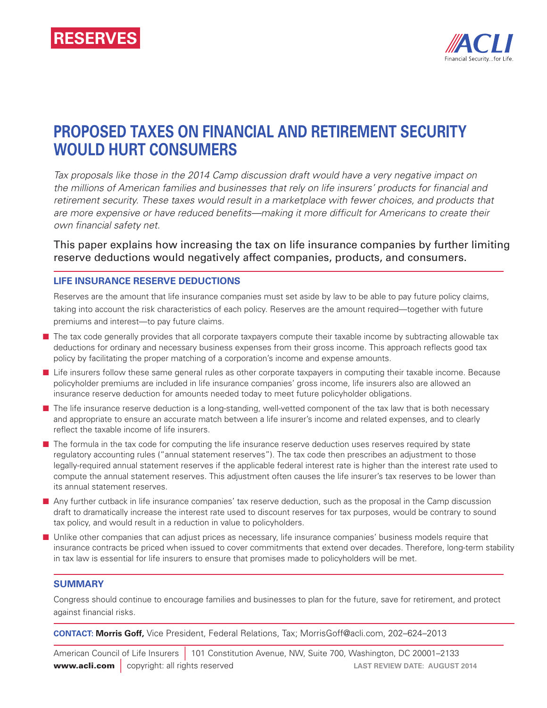

## **Proposed Taxes on Financial and Retirement Security Would Hurt Consumers**

*Tax proposals like those in the 2014 Camp discussion draft would have a very negative impact on the millions of American families and businesses that rely on life insurers' products for financial and*  retirement security. These taxes would result in a marketplace with fewer choices, and products that *are more expensive or have reduced benefits—making it more difficult for Americans to create their own financial safety net.*

This paper explains how increasing the tax on life insurance companies by further limiting reserve deductions would negatively affect companies, products, and consumers.

## **Life Insurance Reserve Deductions**

Reserves are the amount that life insurance companies must set aside by law to be able to pay future policy claims, taking into account the risk characteristics of each policy. Reserves are the amount required—together with future premiums and interest—to pay future claims.

- n The tax code generally provides that all corporate taxpayers compute their taxable income by subtracting allowable tax deductions for ordinary and necessary business expenses from their gross income. This approach reflects good tax policy by facilitating the proper matching of a corporation's income and expense amounts.
- Life insurers follow these same general rules as other corporate taxpayers in computing their taxable income. Because policyholder premiums are included in life insurance companies' gross income, life insurers also are allowed an insurance reserve deduction for amounts needed today to meet future policyholder obligations.
- n The life insurance reserve deduction is a long-standing, well-vetted component of the tax law that is both necessary and appropriate to ensure an accurate match between a life insurer's income and related expenses, and to clearly reflect the taxable income of life insurers.
- **n** The formula in the tax code for computing the life insurance reserve deduction uses reserves required by state regulatory accounting rules ("annual statement reserves"). The tax code then prescribes an adjustment to those legally-required annual statement reserves if the applicable federal interest rate is higher than the interest rate used to compute the annual statement reserves. This adjustment often causes the life insurer's tax reserves to be lower than its annual statement reserves.
- n Any further cutback in life insurance companies' tax reserve deduction, such as the proposal in the Camp discussion draft to dramatically increase the interest rate used to discount reserves for tax purposes, would be contrary to sound tax policy, and would result in a reduction in value to policyholders.
- **n** Unlike other companies that can adjust prices as necessary, life insurance companies' business models require that insurance contracts be priced when issued to cover commitments that extend over decades. Therefore, long-term stability in tax law is essential for life insurers to ensure that promises made to policyholders will be met.

## **Summary**

Congress should continue to encourage families and businesses to plan for the future, save for retirement, and protect against financial risks.

**Contact: Morris Goff,** Vice President, Federal Relations, Tax; MorrisGoff@acli.com, 202–624–2013

American Council of Life Insurers | 101 Constitution Avenue, NW, Suite 700, Washington, DC 20001–2133 **www.acli.com** | copyright: all rights reserved **LAST REVIEW DATE: AUGUST 2014**